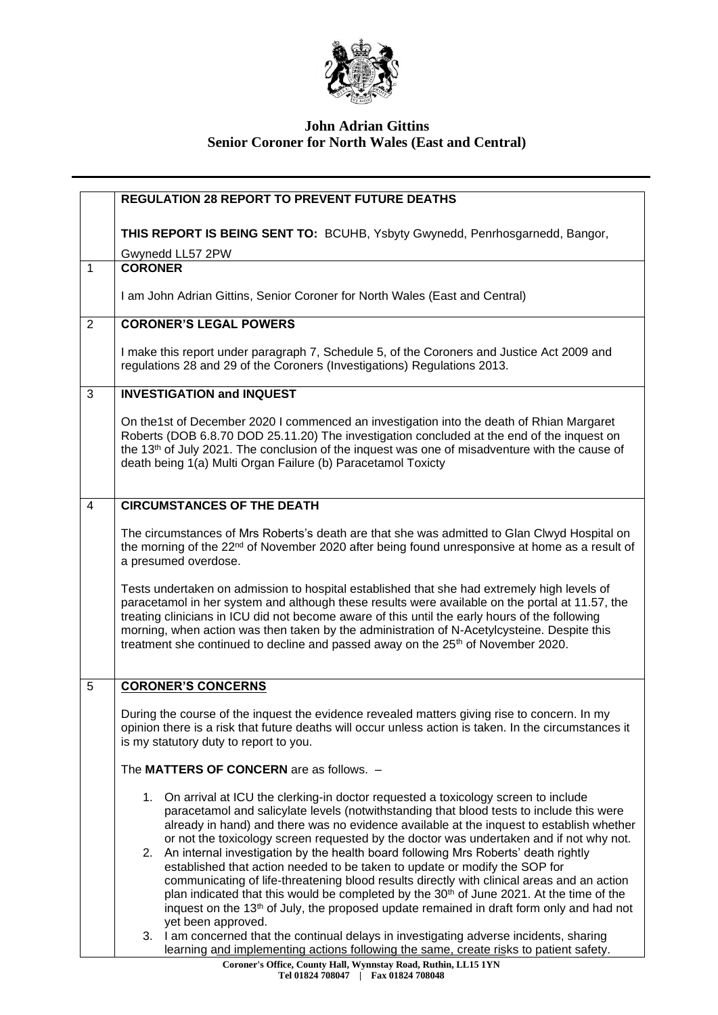

## **John Adrian Gittins Senior Coroner for North Wales (East and Central)**

|                | <b>REGULATION 28 REPORT TO PREVENT FUTURE DEATHS</b>                                                                                                                                                                                                                                                                                                                                                                                                                                            |
|----------------|-------------------------------------------------------------------------------------------------------------------------------------------------------------------------------------------------------------------------------------------------------------------------------------------------------------------------------------------------------------------------------------------------------------------------------------------------------------------------------------------------|
|                |                                                                                                                                                                                                                                                                                                                                                                                                                                                                                                 |
|                | THIS REPORT IS BEING SENT TO: BCUHB, Ysbyty Gwynedd, Penrhosgarnedd, Bangor,                                                                                                                                                                                                                                                                                                                                                                                                                    |
|                | Gwynedd LL57 2PW                                                                                                                                                                                                                                                                                                                                                                                                                                                                                |
| $\mathbf{1}$   | <b>CORONER</b>                                                                                                                                                                                                                                                                                                                                                                                                                                                                                  |
|                |                                                                                                                                                                                                                                                                                                                                                                                                                                                                                                 |
|                | I am John Adrian Gittins, Senior Coroner for North Wales (East and Central)                                                                                                                                                                                                                                                                                                                                                                                                                     |
| 2              | <b>CORONER'S LEGAL POWERS</b>                                                                                                                                                                                                                                                                                                                                                                                                                                                                   |
|                | I make this report under paragraph 7, Schedule 5, of the Coroners and Justice Act 2009 and<br>regulations 28 and 29 of the Coroners (Investigations) Regulations 2013.                                                                                                                                                                                                                                                                                                                          |
| 3              | <b>INVESTIGATION and INQUEST</b>                                                                                                                                                                                                                                                                                                                                                                                                                                                                |
|                | On the1st of December 2020 I commenced an investigation into the death of Rhian Margaret<br>Roberts (DOB 6.8.70 DOD 25.11.20) The investigation concluded at the end of the inquest on<br>the 13th of July 2021. The conclusion of the inquest was one of misadventure with the cause of<br>death being 1(a) Multi Organ Failure (b) Paracetamol Toxicty                                                                                                                                        |
| $\overline{4}$ | <b>CIRCUMSTANCES OF THE DEATH</b>                                                                                                                                                                                                                                                                                                                                                                                                                                                               |
|                | The circumstances of Mrs Roberts's death are that she was admitted to Glan Clwyd Hospital on<br>the morning of the 22 <sup>nd</sup> of November 2020 after being found unresponsive at home as a result of<br>a presumed overdose.                                                                                                                                                                                                                                                              |
|                | Tests undertaken on admission to hospital established that she had extremely high levels of<br>paracetamol in her system and although these results were available on the portal at 11.57, the<br>treating clinicians in ICU did not become aware of this until the early hours of the following<br>morning, when action was then taken by the administration of N-Acetylcysteine. Despite this<br>treatment she continued to decline and passed away on the 25 <sup>th</sup> of November 2020. |
| 5              | <b>CORONER'S CONCERNS</b>                                                                                                                                                                                                                                                                                                                                                                                                                                                                       |
|                | During the course of the inquest the evidence revealed matters giving rise to concern. In my<br>opinion there is a risk that future deaths will occur unless action is taken. In the circumstances it<br>is my statutory duty to report to you.                                                                                                                                                                                                                                                 |
|                | The MATTERS OF CONCERN are as follows. -                                                                                                                                                                                                                                                                                                                                                                                                                                                        |
|                | 1. On arrival at ICU the clerking-in doctor requested a toxicology screen to include<br>paracetamol and salicylate levels (notwithstanding that blood tests to include this were<br>already in hand) and there was no evidence available at the inquest to establish whether<br>or not the toxicology screen requested by the doctor was undertaken and if not why not.                                                                                                                         |
|                | 2. An internal investigation by the health board following Mrs Roberts' death rightly<br>established that action needed to be taken to update or modify the SOP for<br>communicating of life-threatening blood results directly with clinical areas and an action<br>plan indicated that this would be completed by the 30 <sup>th</sup> of June 2021. At the time of the<br>inquest on the 13 <sup>th</sup> of July, the proposed update remained in draft form only and had not               |
|                | yet been approved.<br>3. I am concerned that the continual delays in investigating adverse incidents, sharing<br>learning and implementing actions following the same, create risks to patient safety.                                                                                                                                                                                                                                                                                          |